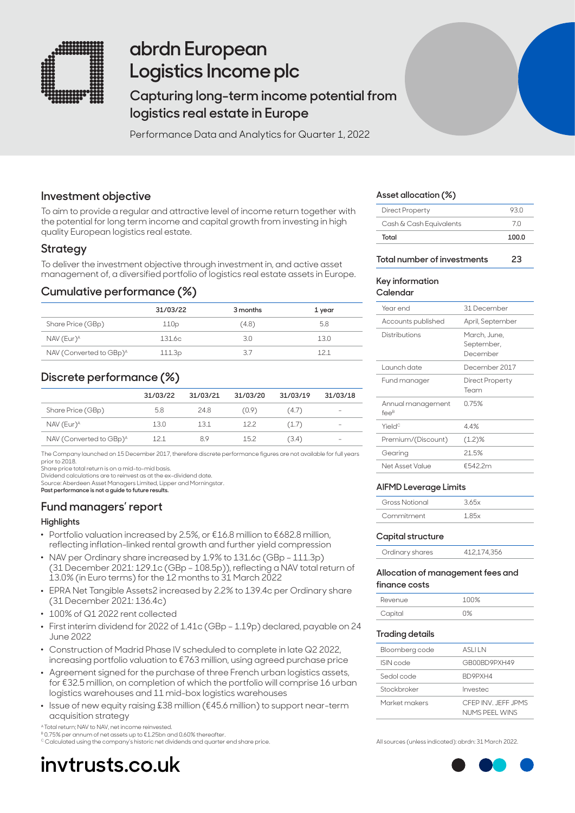

## **abrdn European Logistics Income plc**

## **Capturing long-term income potential from logistics real estate in Europe**

Performance Data and Analytics for Quarter 1, 2022

## **Investment objective**

To aim to provide a regular and attractive level of income return together with the potential for long term income and capital growth from investing in high quality European logistics real estate.

## **Strategy**

To deliver the investment objective through investment in, and active asset management of, a diversified portfolio of logistics real estate assets in Europe.

## **Cumulative performance (%)**

|                                     | 31/03/22 | 3 months | 1 year |
|-------------------------------------|----------|----------|--------|
| Share Price (GBp)                   | 110p     | (4.8)    | 5.8    |
| NAV (Eur) <sup>A</sup>              | 131.6c   | 3.0      | 13.0   |
| NAV (Converted to GBp) <sup>A</sup> | 111.3p   | 37       | 121    |

## **Discrete performance (%)**

|                                     | 31/03/22 | 31/03/21 | 31/03/20 | 31/03/19 | 31/03/18                 |
|-------------------------------------|----------|----------|----------|----------|--------------------------|
| Share Price (GBp)                   | 5.8      | 24.8     | (0.9)    | (4.7)    | $\qquad \qquad =$        |
| NAV (Eur) <sup>A</sup>              | 13.0     | 13.1     | 12.2     | (1.7)    | $\overline{\phantom{a}}$ |
| NAV (Converted to GBp) <sup>A</sup> |          | 8.9      | 152      | (3.4)    | $\qquad \qquad$          |

The Company launched on 15 December 2017, therefore discrete performance figures are not available for full years prior to 2018.

Share price total return is on a mid-to-mid basis.

Dividend calculations are to reinvest as at the ex-dividend date. Source: Aberdeen Asset Managers Limited, Lipper and Morningstar.

**Past performance is not a guide to future results.**

## **Fund managers' report**

## **Highlights**

- . Portfolio valuation increased by 2.5%, or €16.8 million to €682.8 million, reflecting inflation-linked rental growth and further yield compression
- . NAV per Ordinary share increased by 1.9% to 131.6c (GBp 111.3p) (31 December 2021: 129.1c (GBp – 108.5p)), reflecting a NAV total return of 13.0% (in Euro terms) for the 12 months to 31 March 2022
- . EPRA Net Tangible Assets2 increased by 2.2% to 139.4c per Ordinary share (31 December 2021: 136.4c)
- . 100% of Q1 2022 rent collected
- . First interim dividend for 2022 of 1.41c (GBp 1.19p) declared, payable on 24 June 2022
- . Construction of Madrid Phase IV scheduled to complete in late Q2 2022, increasing portfolio valuation to €763 million, using agreed purchase price
- . Agreement signed for the purchase of three French urban logistics assets, for €32.5 million, on completion of which the portfolio will comprise 16 urban logistics warehouses and 11 mid-box logistics warehouses
- . Issue of new equity raising £38 million (€45.6 million) to support near-term acquisition strategy

<sup>4</sup> Total return; NAV to NAV, net income reinvested.

<sup>B</sup> 0.75% per annum of net assets up to €1.25bn and 0.60% thereafter. C Calculated using the company's historic net dividends and quarter end share price.

**invtrusts.co.uk**

### **Asset allocation (%)**

| Total                   | 100.0 |
|-------------------------|-------|
| Cash & Cash Equivalents | 7 N   |
| <b>Direct Property</b>  | 93 N  |

### **Total number of investments 23**

#### **Key information Calendar**

| 31 December                            |
|----------------------------------------|
| April, September                       |
| March, June,<br>September,<br>December |
| December 2017                          |
| Direct Property<br>Team                |
| 0.75%                                  |
| 44%                                    |
| $(1.2)$ %                              |
| 21.5%                                  |
| €5422m                                 |
|                                        |

### **AIFMD Leverage Limits**

| Gross Notional | 365x              |
|----------------|-------------------|
| Commitment     | 1.85 <sub>v</sub> |

### **Capital structure**

| Ordinary shares | 412,174,356 |
|-----------------|-------------|

#### **Allocation of management fees and finance costs**

| Revenue | 111192 |
|---------|--------|
| Capital | 10⁄    |

#### **Trading details**

| Bloomberg code | ASI II N                             |
|----------------|--------------------------------------|
| ISIN code      | GR00BD9PXH49                         |
| Sedol code     | BD9PXH4                              |
| Stockbroker    | Investec                             |
| Market makers  | CEEP INV JEEF JPMS<br>NUMS PEEL WINS |

All sources (unless indicated): abrdn: 31 March 2022.

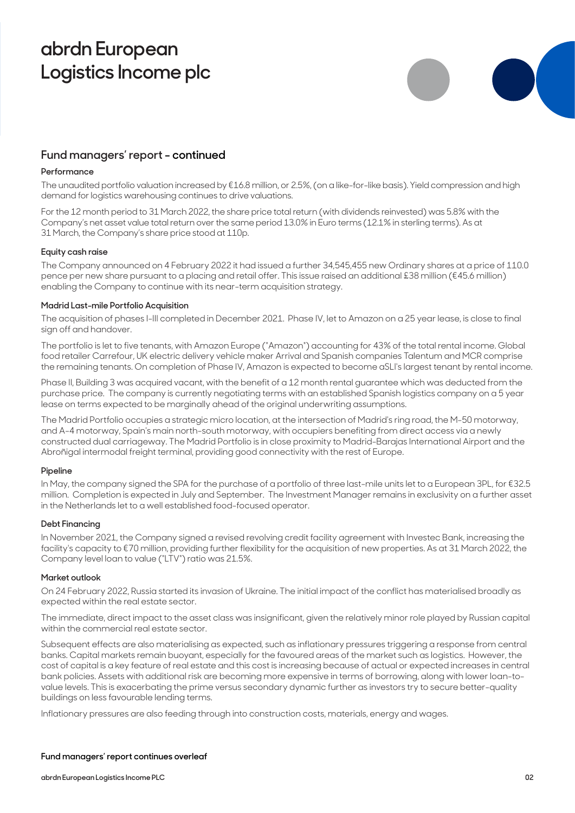## **abrdn European Logistics Income plc**



## **Fund managers' report - continued**

## **Performance**

The unaudited portfolio valuation increased by €16.8 million, or 2.5%, (on a like-for-like basis). Yield compression and high demand for logistics warehousing continues to drive valuations.

For the 12 month period to 31 March 2022, the share price total return (with dividends reinvested) was 5.8% with the Company's net asset value total return over the same period 13.0% in Euro terms (12.1% in sterling terms). As at 31 March, the Company's share price stood at 110p.

### **Equity cash raise**

The Company announced on 4 February 2022 it had issued a further 34,545,455 new Ordinary shares at a price of 110.0 pence per new share pursuant to a placing and retail offer. This issue raised an additional £38 million (€45.6 million) enabling the Company to continue with its near-term acquisition strategy.

### **Madrid Last-mile Portfolio Acquisition**

The acquisition of phases I-III completed in December 2021. Phase IV, let to Amazon on a 25 year lease, is close to final sign off and handover.

The portfolio is let to five tenants, with Amazon Europe ("Amazon") accounting for 43% of the total rental income. Global food retailer Carrefour, UK electric delivery vehicle maker Arrival and Spanish companies Talentum and MCR comprise the remaining tenants. On completion of Phase IV, Amazon is expected to become aSLI's largest tenant by rental income.

Phase II, Building 3 was acquired vacant, with the benefit of a 12 month rental guarantee which was deducted from the purchase price. The company is currently negotiating terms with an established Spanish logistics company on a 5 year lease on terms expected to be marginally ahead of the original underwriting assumptions.

The Madrid Portfolio occupies a strategic micro location, at the intersection of Madrid's ring road, the M-50 motorway, and A-4 motorway, Spain's main north-south motorway, with occupiers benefiting from direct access via a newly constructed dual carriageway. The Madrid Portfolio is in close proximity to Madrid-Barajas International Airport and the Abroñigal intermodal freight terminal, providing good connectivity with the rest of Europe.

### **Pipeline**

In May, the company signed the SPA for the purchase of a portfolio of three last-mile units let to a European 3PL, for €32.5 million. Completion is expected in July and September. The Investment Manager remains in exclusivity on a further asset in the Netherlands let to a well established food-focused operator.

### **Debt Financing**

In November 2021, the Company signed a revised revolving credit facility agreement with Investec Bank, increasing the facility's capacity to €70 million, providing further flexibility for the acquisition of new properties. As at 31 March 2022, the Company level loan to value ("LTV") ratio was 21.5%.

### **Market outlook**

On 24 February 2022, Russia started its invasion of Ukraine. The initial impact of the conflict has materialised broadly as expected within the real estate sector.

The immediate, direct impact to the asset class was insignificant, given the relatively minor role played by Russian capital within the commercial real estate sector.

Subsequent effects are also materialising as expected, such as inflationary pressures triggering a response from central banks. Capital markets remain buoyant, especially for the favoured areas of the market such as logistics. However, the cost of capital is a key feature of real estate and this cost is increasing because of actual or expected increases in central bank policies. Assets with additional risk are becoming more expensive in terms of borrowing, along with lower loan-tovalue levels. This is exacerbating the prime versus secondary dynamic further as investors try to secure better-quality buildings on less favourable lending terms.

Inflationary pressures are also feeding through into construction costs, materials, energy and wages.

## **Fund managers' report continues overleaf**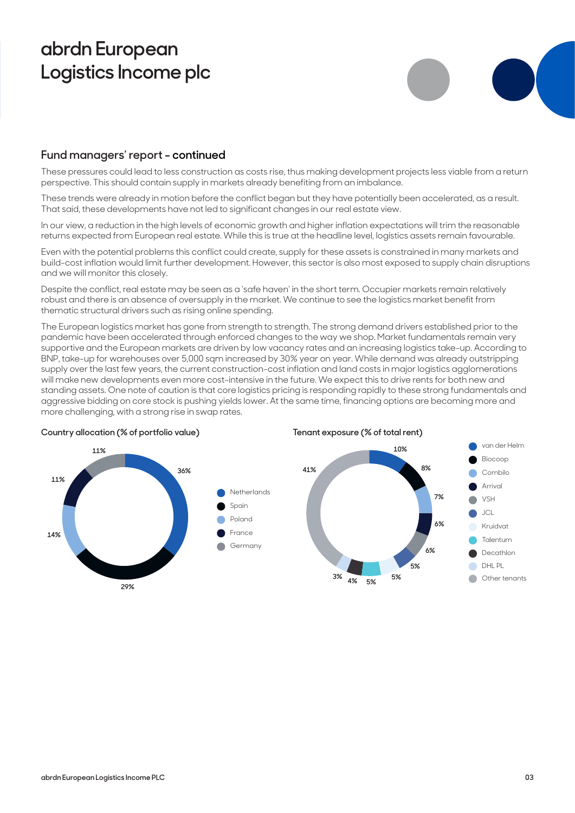## **abrdn European Logistics Income plc**



## **Fund managers' report - continued**

These pressures could lead to less construction as costs rise, thus making development projects less viable from a return perspective. This should contain supply in markets already benefiting from an imbalance.

These trends were already in motion before the conflict began but they have potentially been accelerated, as a result. That said, these developments have not led to significant changes in our real estate view.

In our view, a reduction in the high levels of economic growth and higher inflation expectations will trim the reasonable returns expected from European real estate. While this is true at the headline level, logistics assets remain favourable.

Even with the potential problems this conflict could create, supply for these assets is constrained in many markets and build-cost inflation would limit further development. However, this sector is also most exposed to supply chain disruptions and we will monitor this closely.

Despite the conflict, real estate may be seen as a 'safe haven' in the short term. Occupier markets remain relatively robust and there is an absence of oversupply in the market. We continue to see the logistics market benefit from thematic structural drivers such as rising online spending.

The European logistics market has gone from strength to strength. The strong demand drivers established prior to the pandemic have been accelerated through enforced changes to the way we shop. Market fundamentals remain very supportive and the European markets are driven by low vacancy rates and an increasing logistics take-up. According to BNP, take-up for warehouses over 5,000 sqm increased by 30% year on year. While demand was already outstripping supply over the last few years, the current construction-cost inflation and land costs in major logistics agglomerations will make new developments even more cost-intensive in the future. We expect this to drive rents for both new and standing assets. One note of caution is that core logistics pricing is responding rapidly to these strong fundamentals and aggressive bidding on core stock is pushing yields lower. At the same time, financing options are becoming more and more challenging, with a strong rise in swap rates.